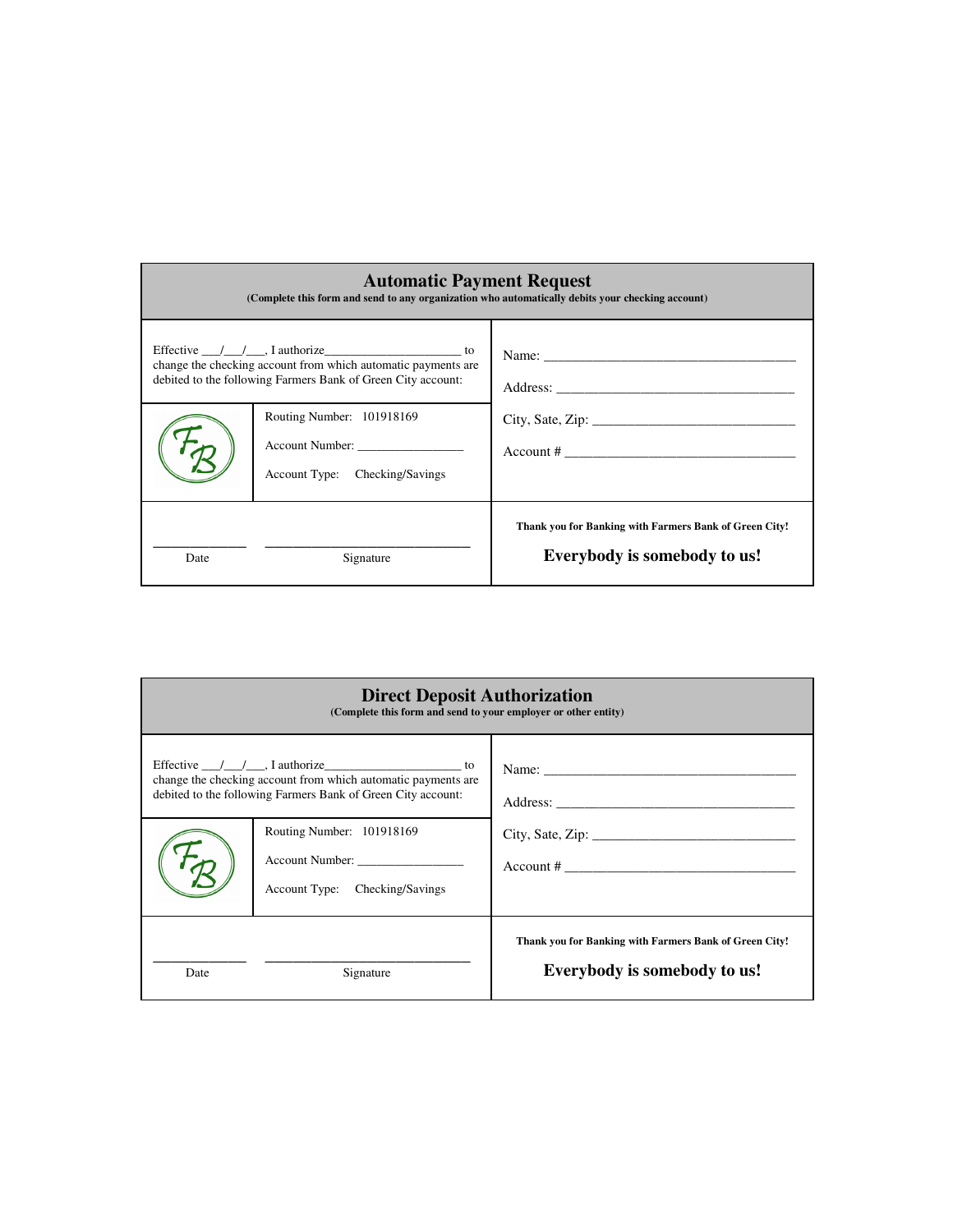| <b>Automatic Payment Request</b><br>(Complete this form and send to any organization who automatically debits your checking account)                                                                              |                                                                                |                                                                                        |  |  |
|-------------------------------------------------------------------------------------------------------------------------------------------------------------------------------------------------------------------|--------------------------------------------------------------------------------|----------------------------------------------------------------------------------------|--|--|
| Effective $\angle$ $\angle$ $\angle$ $\angle$ authorize $\angle$ and $\angle$ to<br>change the checking account from which automatic payments are<br>debited to the following Farmers Bank of Green City account: |                                                                                |                                                                                        |  |  |
|                                                                                                                                                                                                                   | Routing Number: 101918169<br>Account Number:<br>Account Type: Checking/Savings | $Account # \_$                                                                         |  |  |
| Date                                                                                                                                                                                                              | Signature                                                                      | Thank you for Banking with Farmers Bank of Green City!<br>Everybody is somebody to us! |  |  |

| <b>Direct Deposit Authorization</b><br>(Complete this form and send to your employer or other entity)                                                                    |                                                                                |                                                                                        |  |  |  |
|--------------------------------------------------------------------------------------------------------------------------------------------------------------------------|--------------------------------------------------------------------------------|----------------------------------------------------------------------------------------|--|--|--|
| Effective $\_\_\_\_\_\_\$ . I authorize<br>change the checking account from which automatic payments are<br>debited to the following Farmers Bank of Green City account: |                                                                                |                                                                                        |  |  |  |
|                                                                                                                                                                          | Routing Number: 101918169<br>Account Number:<br>Account Type: Checking/Savings | City, Sate, Zip:<br>$Account # \_$                                                     |  |  |  |
| Date                                                                                                                                                                     | Signature                                                                      | Thank you for Banking with Farmers Bank of Green City!<br>Everybody is somebody to us! |  |  |  |